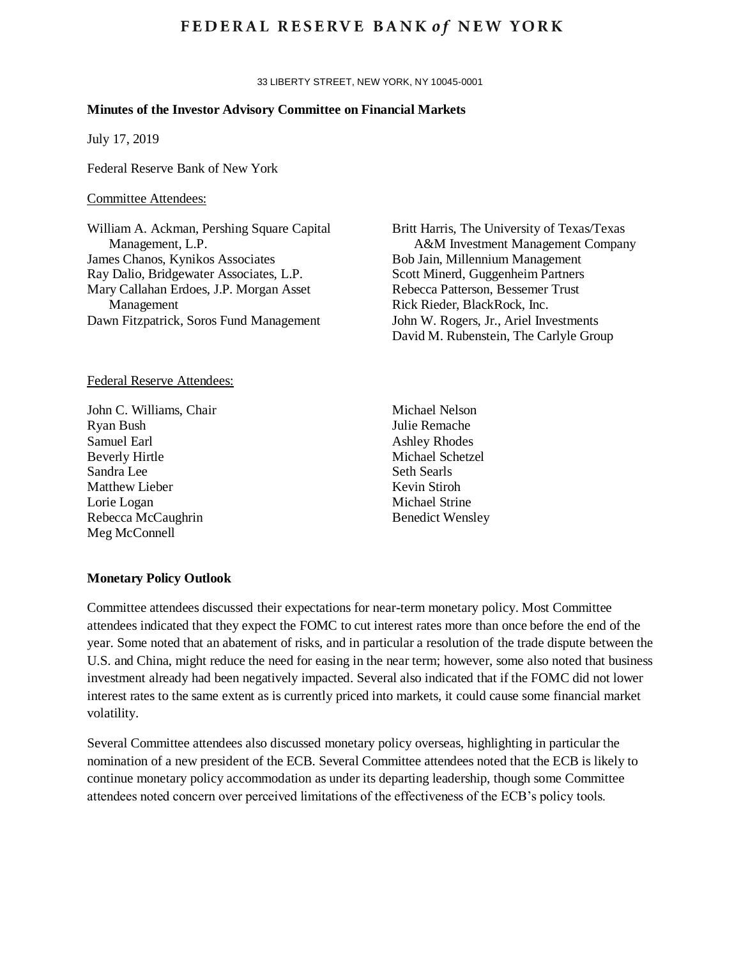# **FEDERAL RESERVE BANK of NEW YORK**

33 LIBERTY STREET, NEW YORK, NY 10045-0001

#### **Minutes of the Investor Advisory Committee on Financial Markets**

July 17, 2019

Federal Reserve Bank of New York

## Committee Attendees:

William A. Ackman, Pershing Square Capital Management, L.P. James Chanos, Kynikos Associates Ray Dalio, Bridgewater Associates, L.P. Mary Callahan Erdoes, J.P. Morgan Asset Management Dawn Fitzpatrick, Soros Fund Management

#### Federal Reserve Attendees:

John C. Williams, Chair Ryan Bush Samuel Earl Beverly Hirtle Sandra Lee Matthew Lieber Lorie Logan Rebecca McCaughrin Meg McConnell

Britt Harris, The University of Texas/Texas A&M Investment Management Company Bob Jain, Millennium Management Scott Minerd, Guggenheim Partners Rebecca Patterson, Bessemer Trust Rick Rieder, BlackRock, Inc. John W. Rogers, Jr., Ariel Investments David M. Rubenstein, The Carlyle Group

Michael Nelson Julie Remache Ashley Rhodes Michael Schetzel Seth Searls Kevin Stiroh Michael Strine Benedict Wensley

#### **Monetary Policy Outlook**

Committee attendees discussed their expectations for near-term monetary policy. Most Committee attendees indicated that they expect the FOMC to cut interest rates more than once before the end of the year. Some noted that an abatement of risks, and in particular a resolution of the trade dispute between the U.S. and China, might reduce the need for easing in the near term; however, some also noted that business investment already had been negatively impacted. Several also indicated that if the FOMC did not lower interest rates to the same extent as is currently priced into markets, it could cause some financial market volatility.

Several Committee attendees also discussed monetary policy overseas, highlighting in particular the nomination of a new president of the ECB. Several Committee attendees noted that the ECB is likely to continue monetary policy accommodation as under its departing leadership, though some Committee attendees noted concern over perceived limitations of the effectiveness of the ECB's policy tools.